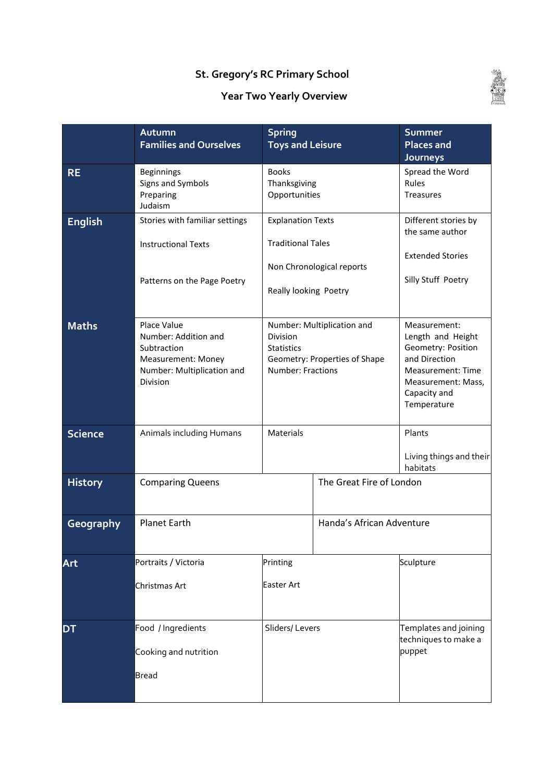## **St. Gregory's RC Primary School**

## **Year Two Yearly Overview**



|                | <b>Spring</b><br>Autumn<br><b>Families and Ourselves</b><br><b>Toys and Leisure</b>                                       |                                                                               |                                                             | <b>Summer</b><br><b>Places and</b><br>Journeys                                                                                                            |  |
|----------------|---------------------------------------------------------------------------------------------------------------------------|-------------------------------------------------------------------------------|-------------------------------------------------------------|-----------------------------------------------------------------------------------------------------------------------------------------------------------|--|
| <b>RE</b>      | <b>Beginnings</b><br>Signs and Symbols<br>Preparing<br>Judaism                                                            | <b>Books</b><br>Thanksgiving<br>Opportunities                                 |                                                             | Spread the Word<br>Rules<br><b>Treasures</b>                                                                                                              |  |
| <b>English</b> | Stories with familiar settings<br><b>Instructional Texts</b><br>Patterns on the Page Poetry                               | <b>Explanation Texts</b><br><b>Traditional Tales</b><br>Really looking Poetry | Non Chronological reports                                   | Different stories by<br>the same author<br><b>Extended Stories</b><br>Silly Stuff Poetry                                                                  |  |
| <b>Maths</b>   | Place Value<br>Number: Addition and<br>Subtraction<br><b>Measurement: Money</b><br>Number: Multiplication and<br>Division | Division<br><b>Statistics</b><br>Number: Fractions                            | Number: Multiplication and<br>Geometry: Properties of Shape | Measurement:<br>Length and Height<br>Geometry: Position<br>and Direction<br><b>Measurement: Time</b><br>Measurement: Mass,<br>Capacity and<br>Temperature |  |
| <b>Science</b> | Animals including Humans                                                                                                  | Materials                                                                     |                                                             | Plants<br>Living things and their<br>habitats                                                                                                             |  |
| <b>History</b> | <b>Comparing Queens</b>                                                                                                   |                                                                               | The Great Fire of London                                    |                                                                                                                                                           |  |
| Geography      | <b>Planet Earth</b>                                                                                                       |                                                                               | Handa's African Adventure                                   |                                                                                                                                                           |  |
| Art            | Portraits / Victoria<br>Christmas Art                                                                                     | Printing<br><b>Easter Art</b>                                                 |                                                             | Sculpture                                                                                                                                                 |  |
| DT             | Food / Ingredients<br>Cooking and nutrition<br><b>Bread</b>                                                               | Sliders/Levers                                                                |                                                             | Templates and joining<br>techniques to make a<br>puppet                                                                                                   |  |